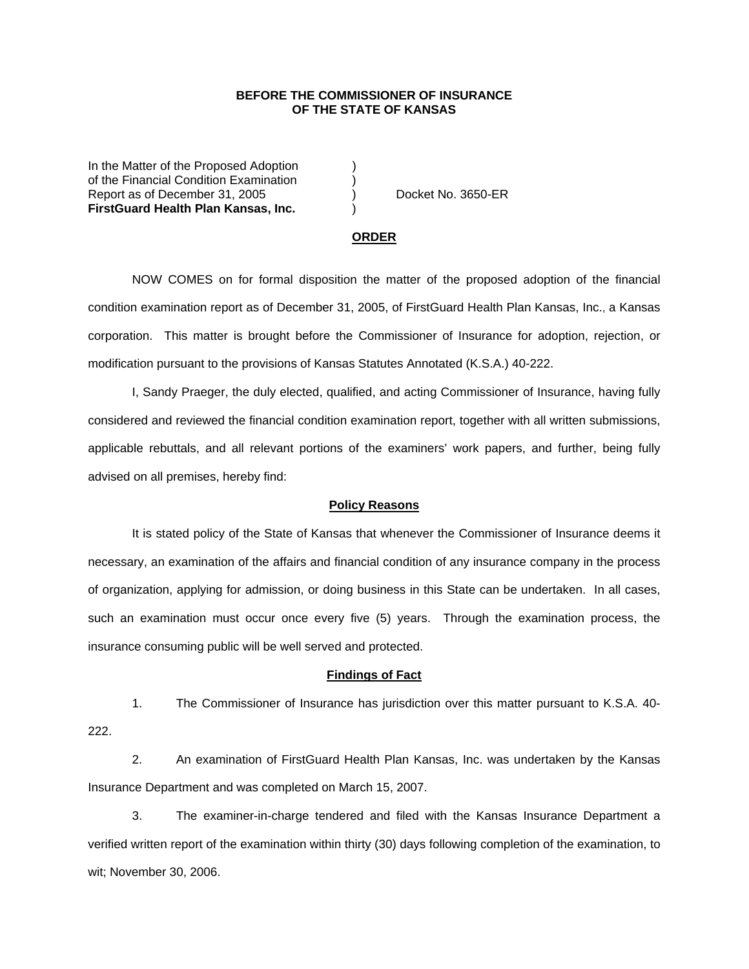## **BEFORE THE COMMISSIONER OF INSURANCE OF THE STATE OF KANSAS**

In the Matter of the Proposed Adoption of the Financial Condition Examination ) Report as of December 31, 2005 (and Separate No. 3650-ER **FirstGuard Health Plan Kansas, Inc.** )

#### **ORDER**

 NOW COMES on for formal disposition the matter of the proposed adoption of the financial condition examination report as of December 31, 2005, of FirstGuard Health Plan Kansas, Inc., a Kansas corporation. This matter is brought before the Commissioner of Insurance for adoption, rejection, or modification pursuant to the provisions of Kansas Statutes Annotated (K.S.A.) 40-222.

 I, Sandy Praeger, the duly elected, qualified, and acting Commissioner of Insurance, having fully considered and reviewed the financial condition examination report, together with all written submissions, applicable rebuttals, and all relevant portions of the examiners' work papers, and further, being fully advised on all premises, hereby find:

### **Policy Reasons**

 It is stated policy of the State of Kansas that whenever the Commissioner of Insurance deems it necessary, an examination of the affairs and financial condition of any insurance company in the process of organization, applying for admission, or doing business in this State can be undertaken. In all cases, such an examination must occur once every five (5) years. Through the examination process, the insurance consuming public will be well served and protected.

#### **Findings of Fact**

 1. The Commissioner of Insurance has jurisdiction over this matter pursuant to K.S.A. 40- 222.

 2. An examination of FirstGuard Health Plan Kansas, Inc. was undertaken by the Kansas Insurance Department and was completed on March 15, 2007.

 3. The examiner-in-charge tendered and filed with the Kansas Insurance Department a verified written report of the examination within thirty (30) days following completion of the examination, to wit; November 30, 2006.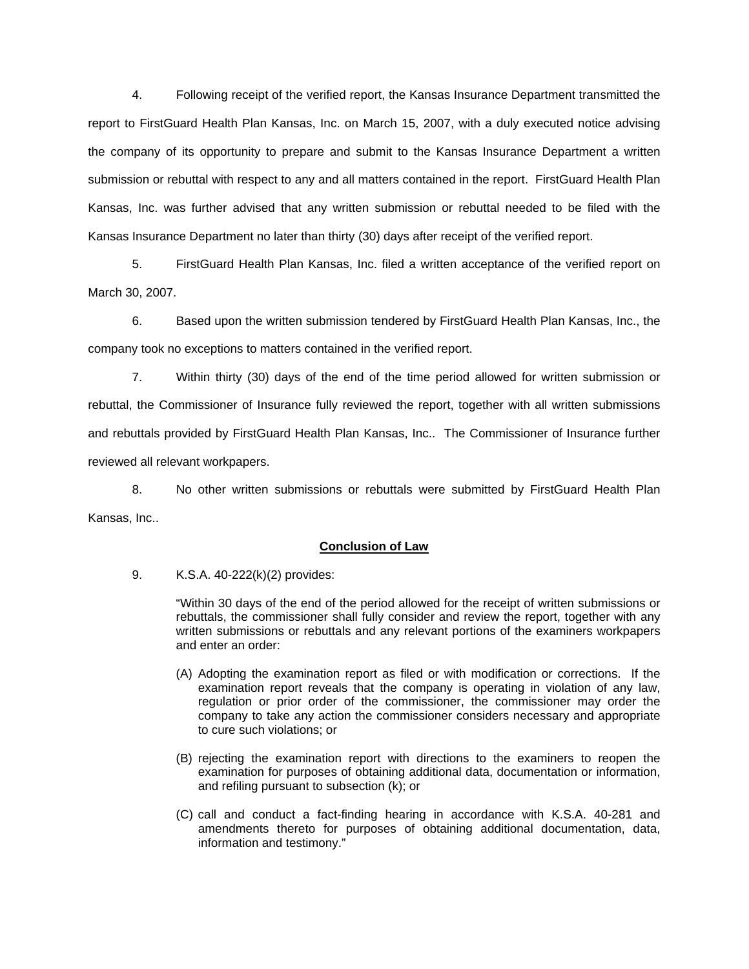4. Following receipt of the verified report, the Kansas Insurance Department transmitted the report to FirstGuard Health Plan Kansas, Inc. on March 15, 2007, with a duly executed notice advising the company of its opportunity to prepare and submit to the Kansas Insurance Department a written submission or rebuttal with respect to any and all matters contained in the report. FirstGuard Health Plan Kansas, Inc. was further advised that any written submission or rebuttal needed to be filed with the Kansas Insurance Department no later than thirty (30) days after receipt of the verified report.

 5. FirstGuard Health Plan Kansas, Inc. filed a written acceptance of the verified report on March 30, 2007.

6. Based upon the written submission tendered by FirstGuard Health Plan Kansas, Inc., the company took no exceptions to matters contained in the verified report.

 7. Within thirty (30) days of the end of the time period allowed for written submission or rebuttal, the Commissioner of Insurance fully reviewed the report, together with all written submissions and rebuttals provided by FirstGuard Health Plan Kansas, Inc.. The Commissioner of Insurance further reviewed all relevant workpapers.

 8. No other written submissions or rebuttals were submitted by FirstGuard Health Plan Kansas, Inc..

## **Conclusion of Law**

9. K.S.A. 40-222(k)(2) provides:

"Within 30 days of the end of the period allowed for the receipt of written submissions or rebuttals, the commissioner shall fully consider and review the report, together with any written submissions or rebuttals and any relevant portions of the examiners workpapers and enter an order:

- (A) Adopting the examination report as filed or with modification or corrections. If the examination report reveals that the company is operating in violation of any law, regulation or prior order of the commissioner, the commissioner may order the company to take any action the commissioner considers necessary and appropriate to cure such violations; or
- (B) rejecting the examination report with directions to the examiners to reopen the examination for purposes of obtaining additional data, documentation or information, and refiling pursuant to subsection (k); or
- (C) call and conduct a fact-finding hearing in accordance with K.S.A. 40-281 and amendments thereto for purposes of obtaining additional documentation, data, information and testimony."